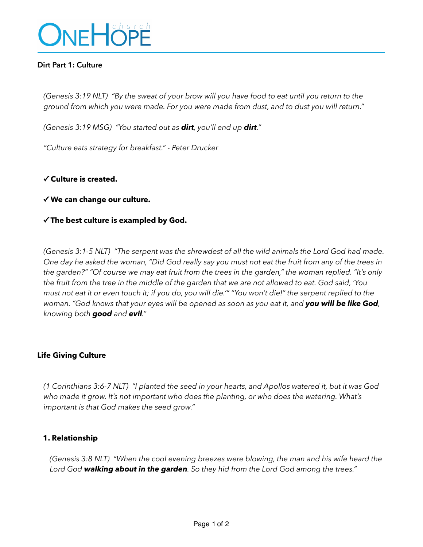

## **Dirt Part 1: Culture**

*(Genesis 3:19 NLT) "By the sweat of your brow will you have food to eat until you return to the ground from which you were made. For you were made from dust, and to dust you will return."* 

*(Genesis 3:19 MSG) "You started out as dirt, you'll end up dirt."* 

*"Culture eats strategy for breakfast." - Peter Drucker* 

#### **✓ Culture is created.**

#### **✓ We can change our culture.**

#### **✓ The best culture is exampled by God.**

*(Genesis 3:1-5 NLT) "The serpent was the shrewdest of all the wild animals the Lord God had made. One day he asked the woman, "Did God really say you must not eat the fruit from any of the trees in the garden?" "Of course we may eat fruit from the trees in the garden," the woman replied. "It's only the fruit from the tree in the middle of the garden that we are not allowed to eat. God said, 'You must not eat it or even touch it; if you do, you will die.'" "You won't die!" the serpent replied to the woman. "God knows that your eyes will be opened as soon as you eat it, and you will be like God, knowing both good and evil."* 

#### **Life Giving Culture**

*(1 Corinthians 3:6-7 NLT) "I planted the seed in your hearts, and Apollos watered it, but it was God who made it grow. It's not important who does the planting, or who does the watering. What's important is that God makes the seed grow."* 

#### **1. Relationship**

*(Genesis 3:8 NLT) "When the cool evening breezes were blowing, the man and his wife heard the Lord God walking about in the garden. So they hid from the Lord God among the trees."*